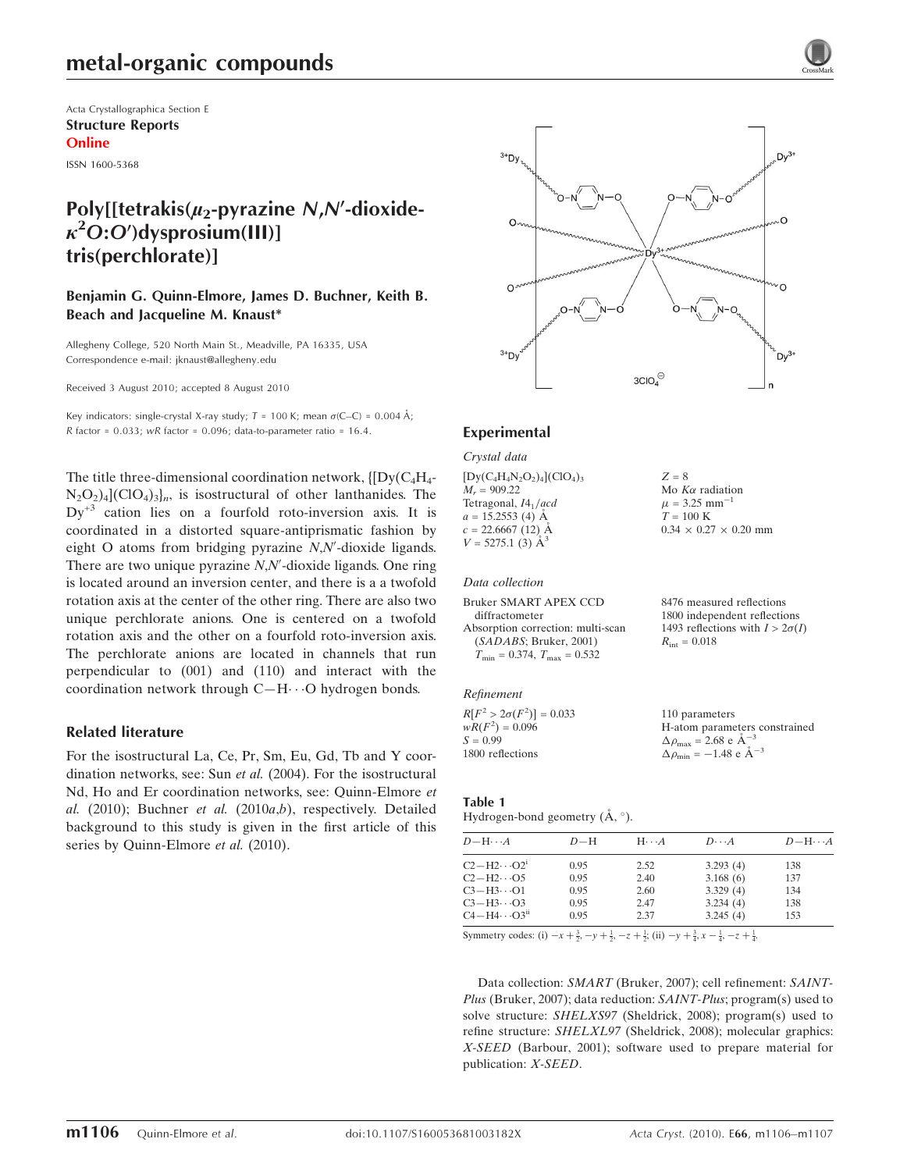Acta Crystallographica Section E Structure Reports Online

ISSN 1600-5368

# Poly[[tetrakis( $\mu_2$ -pyrazine N,N'-dioxide- $\kappa^2$ O:O')dysprosium(III)] tris(perchlorate)]

### Benjamin G. Quinn-Elmore, James D. Buchner, Keith B. Beach and Jacqueline M. Knaust\*

Allegheny College, 520 North Main St., Meadville, PA 16335, USA Correspondence e-mail: jknaust@allegheny.edu

Received 3 August 2010; accepted 8 August 2010

Key indicators: single-crystal X-ray study;  $T = 100$  K; mean  $\sigma$ (C–C) = 0.004 Å; R factor =  $0.033$ ; wR factor =  $0.096$ ; data-to-parameter ratio = 16.4.

The title three-dimensional coordination network,  $\{[Dy(C_4H_4 N_2O_2$ )<sub>4</sub>](ClO<sub>4</sub>)<sub>3</sub>]<sub>n</sub>, is isostructural of other lanthanides. The  $Dy^{+3}$  cation lies on a fourfold roto-inversion axis. It is coordinated in a distorted square-antiprismatic fashion by eight O atoms from bridging pyrazine  $N$ , $N'$ -dioxide ligands. There are two unique pyrazine  $N$ , $N'$ -dioxide ligands. One ring is located around an inversion center, and there is a a twofold rotation axis at the center of the other ring. There are also two unique perchlorate anions. One is centered on a twofold rotation axis and the other on a fourfold roto-inversion axis. The perchlorate anions are located in channels that run perpendicular to (001) and (110) and interact with the coordination network through C-H··· O hydrogen bonds.

### Related literature

For the isostructural La, Ce, Pr, Sm, Eu, Gd, Tb and Y coordination networks, see: Sun et al. (2004). For the isostructural Nd, Ho and Er coordination networks, see: Quinn-Elmore et al. (2010); Buchner et al. (2010 $a,b$ ), respectively. Detailed background to this study is given in the first article of this series by Quinn-Elmore et al. (2010).



 $Z = 8$ 

Mo  $K\alpha$  radiation  $\mu$  = 3.25 mm<sup>-1</sup>  $T = 100$  K

 $0.34 \times 0.27 \times 0.20$  mm

#### Experimental

Crystal data

 $[Dy(C_4H_4N_2O_2)_4]$ (ClO<sub>4</sub>)<sub>3</sub>  $M_r = 909.22$ Tetragonal,  $I4_1/acd$  $a = 15.2553(4)$  Å  $c = 22.6667(12)$  Å  $V = 5275.1$  (3)  $\AA^3$ 

#### Data collection

| 8476 measured reflections              |
|----------------------------------------|
| 1800 independent reflections           |
| 1493 reflections with $I > 2\sigma(I)$ |
| $R_{\rm int} = 0.018$                  |
|                                        |
|                                        |

Refinement

| $R[F^2 > 2\sigma(F^2)] = 0.033$ | 110 parameters                                  |
|---------------------------------|-------------------------------------------------|
| $wR(F^2) = 0.096$               | H-atom parameters constrained                   |
| $S = 0.99$                      | $\Delta \rho_{\text{max}} = 2.68$ e $\AA^{-3}$  |
| 1800 reflections                | $\Delta \rho_{\text{min}} = -1.48$ e $\AA^{-3}$ |

#### Table 1

Hydrogen-bond geometry  $(A, \circ)$ .

| $D - H \cdots A$                  | $D-H$ | $H \cdot \cdot \cdot A$ | $D\cdots A$ | $D - H \cdots A$ |
|-----------------------------------|-------|-------------------------|-------------|------------------|
| $C2-H2\cdots O2^1$                | 0.95  | 2.52                    | 3.293(4)    | 138              |
| $C2 - H2 \cdots 05$               | 0.95  | 2.40                    | 3.168(6)    | 137              |
| $C3-H3\cdots O1$                  | 0.95  | 2.60                    | 3.329(4)    | 134              |
| $C3-H3\cdots O3$                  | 0.95  | 2.47                    | 3.234(4)    | 138              |
| $C4 - H4 \cdots O3$ <sup>ii</sup> | 0.95  | 2.37                    | 3.245(4)    | 153              |

Symmetry codes: (i)  $-x + \frac{3}{2}$ ,  $-y + \frac{1}{2}$ ,  $-z + \frac{1}{2}$ ; (ii)  $-y + \frac{3}{4}$ ,  $x - \frac{1}{4}$ ,  $-z + \frac{1}{4}$ .

Data collection: SMART (Bruker, 2007); cell refinement: SAINT-Plus (Bruker, 2007); data reduction: SAINT-Plus; program(s) used to solve structure: SHELXS97 (Sheldrick, 2008); program(s) used to refine structure: SHELXL97 (Sheldrick, 2008); molecular graphics: X-SEED (Barbour, 2001); software used to prepare material for publication: X-SEED.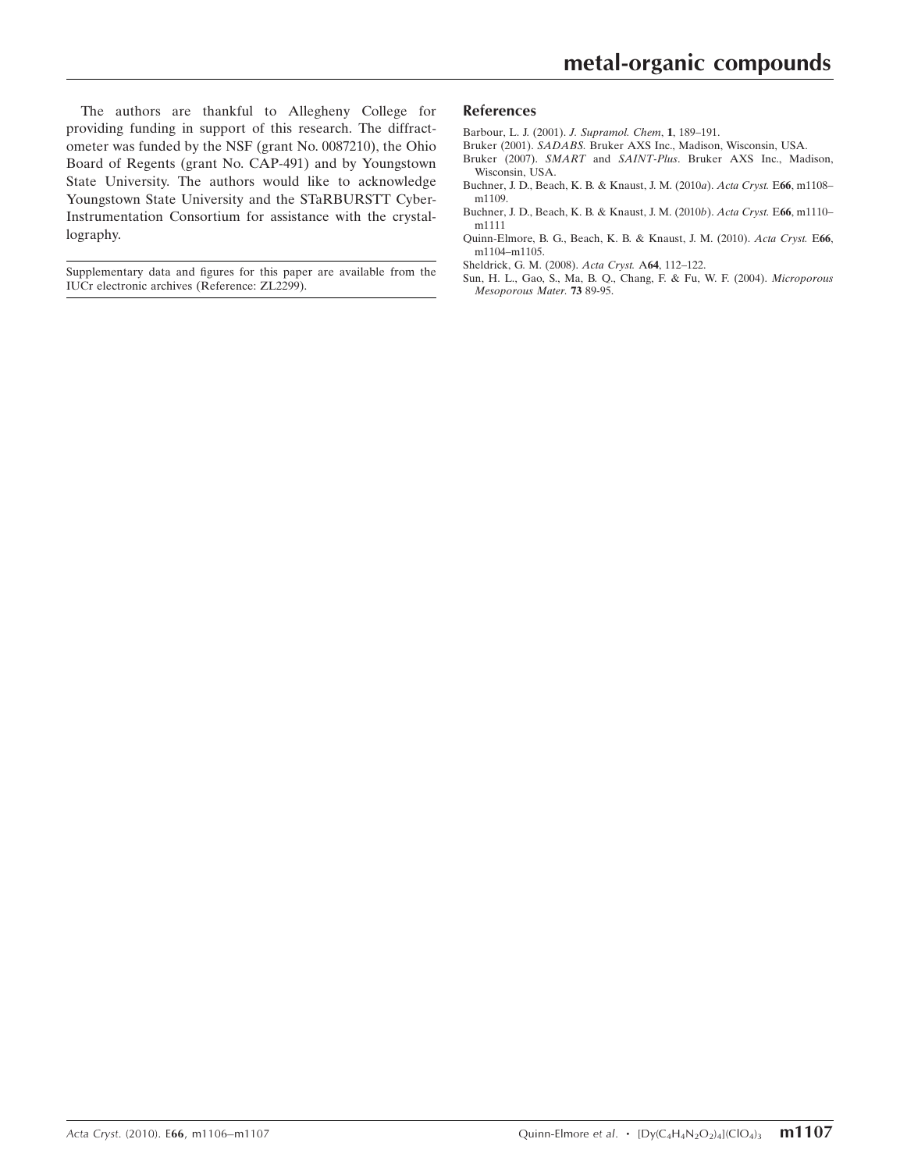The authors are thankful to Allegheny College for providing funding in support of this research. The diffractometer was funded by the NSF (grant No. 0087210), the Ohio Board of Regents (grant No. CAP-491) and by Youngstown State University. The authors would like to acknowledge Youngstown State University and the STaRBURSTT Cyber-Instrumentation Consortium for assistance with the crystallography.

Supplementary data and figures for this paper are available from the IUCr electronic archives (Reference: ZL2299).

#### References

- [Barbour, L. J. \(2001\).](https://scripts.iucr.org/cgi-bin/cr.cgi?rm=pdfbb&cnor=zl2299&bbid=BB1) J. Supramol. Chem, 1, 189–191.
- Bruker (2001). SADABS. [Bruker AXS Inc., Madison, Wisconsin, USA.](https://scripts.iucr.org/cgi-bin/cr.cgi?rm=pdfbb&cnor=zl2299&bbid=BB2)
- Bruker (2007). SMART and SAINT-Plus[. Bruker AXS Inc., Madison,](https://scripts.iucr.org/cgi-bin/cr.cgi?rm=pdfbb&cnor=zl2299&bbid=BB3) [Wisconsin, USA.](https://scripts.iucr.org/cgi-bin/cr.cgi?rm=pdfbb&cnor=zl2299&bbid=BB3)
- [Buchner, J. D., Beach, K. B. & Knaust, J. M. \(2010](https://scripts.iucr.org/cgi-bin/cr.cgi?rm=pdfbb&cnor=zl2299&bbid=BB4)a). Acta Cryst. E66, m1108– [m1109.](https://scripts.iucr.org/cgi-bin/cr.cgi?rm=pdfbb&cnor=zl2299&bbid=BB4)
- [Buchner, J. D., Beach, K. B. & Knaust, J. M. \(2010](https://scripts.iucr.org/cgi-bin/cr.cgi?rm=pdfbb&cnor=zl2299&bbid=BB5)b). Acta Cryst. E66, m1110– [m1111](https://scripts.iucr.org/cgi-bin/cr.cgi?rm=pdfbb&cnor=zl2299&bbid=BB5)
- [Quinn-Elmore, B. G., Beach, K. B. & Knaust, J. M. \(2010\).](https://scripts.iucr.org/cgi-bin/cr.cgi?rm=pdfbb&cnor=zl2299&bbid=BB6) Acta Cryst. E66, [m1104–m1105.](https://scripts.iucr.org/cgi-bin/cr.cgi?rm=pdfbb&cnor=zl2299&bbid=BB6)
- [Sheldrick, G. M. \(2008\).](https://scripts.iucr.org/cgi-bin/cr.cgi?rm=pdfbb&cnor=zl2299&bbid=BB7) Acta Cryst. A64, 112–122.
- [Sun, H. L., Gao, S., Ma, B. Q., Chang, F. & Fu, W. F. \(2004\).](https://scripts.iucr.org/cgi-bin/cr.cgi?rm=pdfbb&cnor=zl2299&bbid=BB8) Microporous [Mesoporous Mater.](https://scripts.iucr.org/cgi-bin/cr.cgi?rm=pdfbb&cnor=zl2299&bbid=BB8) 73 89-95.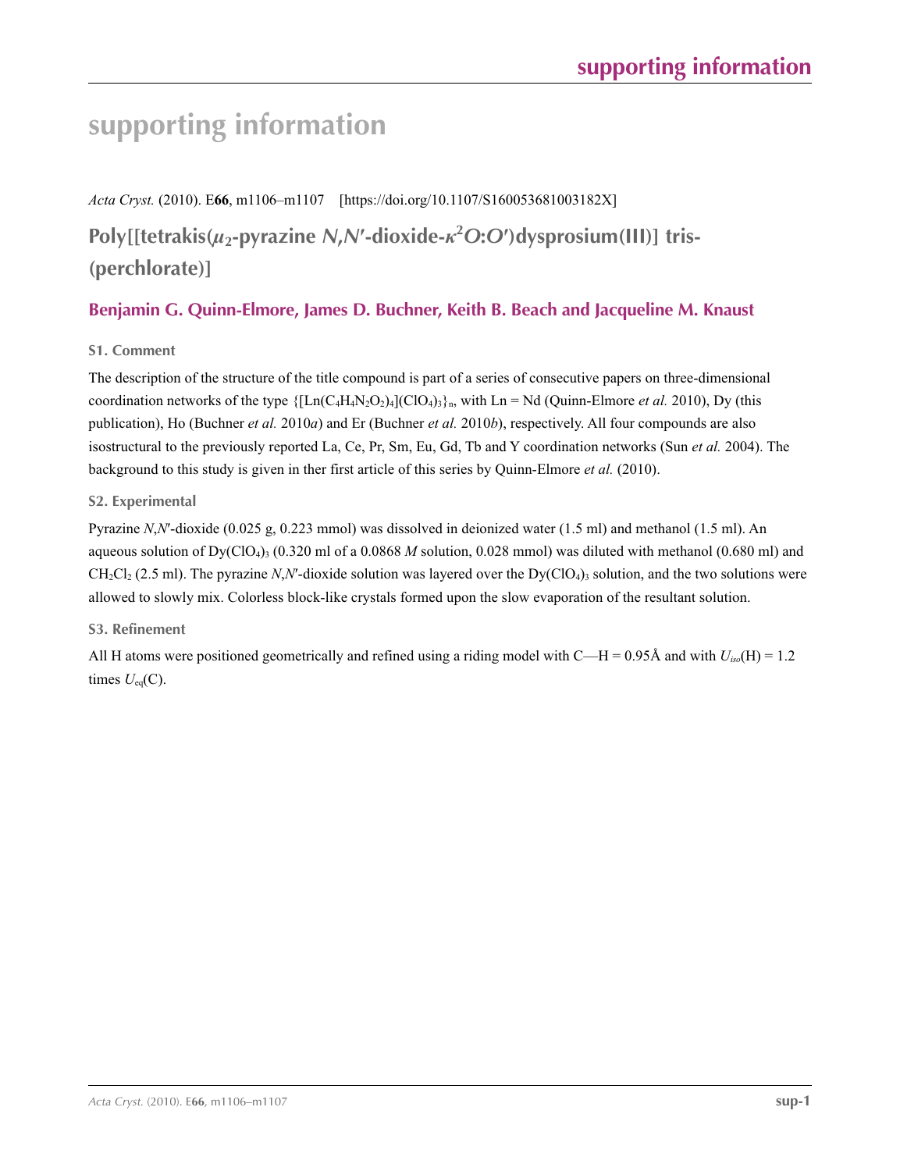# **supporting information**

*Acta Cryst.* (2010). E**66**, m1106–m1107 [https://doi.org/10.1107/S160053681003182X]

**Poly[[tetrakis(***µ***2-pyrazine** *N***,***N***′-dioxide-***κ***<sup>2</sup>** *O***:***O***′)dysprosium(III)] tris- (perchlorate)]**

# **Benjamin G. Quinn-Elmore, James D. Buchner, Keith B. Beach and Jacqueline M. Knaust**

## **S1. Comment**

The description of the structure of the title compound is part of a series of consecutive papers on three-dimensional coordination networks of the type  $\{[Ln(C_4H_4N_2O_2)_4](ClO_4)_3\}$ <sub>n</sub>, with Ln = Nd (Quinn-Elmore *et al.* 2010), Dy (this publication), Ho (Buchner *et al.* 2010*a*) and Er (Buchner *et al.* 2010*b*), respectively. All four compounds are also isostructural to the previously reported La, Ce, Pr, Sm, Eu, Gd, Tb and Y coordination networks (Sun *et al.* 2004). The background to this study is given in ther first article of this series by Quinn-Elmore *et al.* (2010).

## **S2. Experimental**

Pyrazine *N*,*N*′-dioxide (0.025 g, 0.223 mmol) was dissolved in deionized water (1.5 ml) and methanol (1.5 ml). An aqueous solution of  $Dy(C|O_4)$ <sub>3</sub> (0.320 ml of a 0.0868 *M* solution, 0.028 mmol) was diluted with methanol (0.680 ml) and  $CH_2Cl_2$  (2.5 ml). The pyrazine *N,N'*-dioxide solution was layered over the Dy(ClO<sub>4</sub>)<sub>3</sub> solution, and the two solutions were allowed to slowly mix. Colorless block-like crystals formed upon the slow evaporation of the resultant solution.

## **S3. Refinement**

All H atoms were positioned geometrically and refined using a riding model with C—H = 0.95Å and with *Uiso*(H) = 1.2 times  $U_{eq}(C)$ .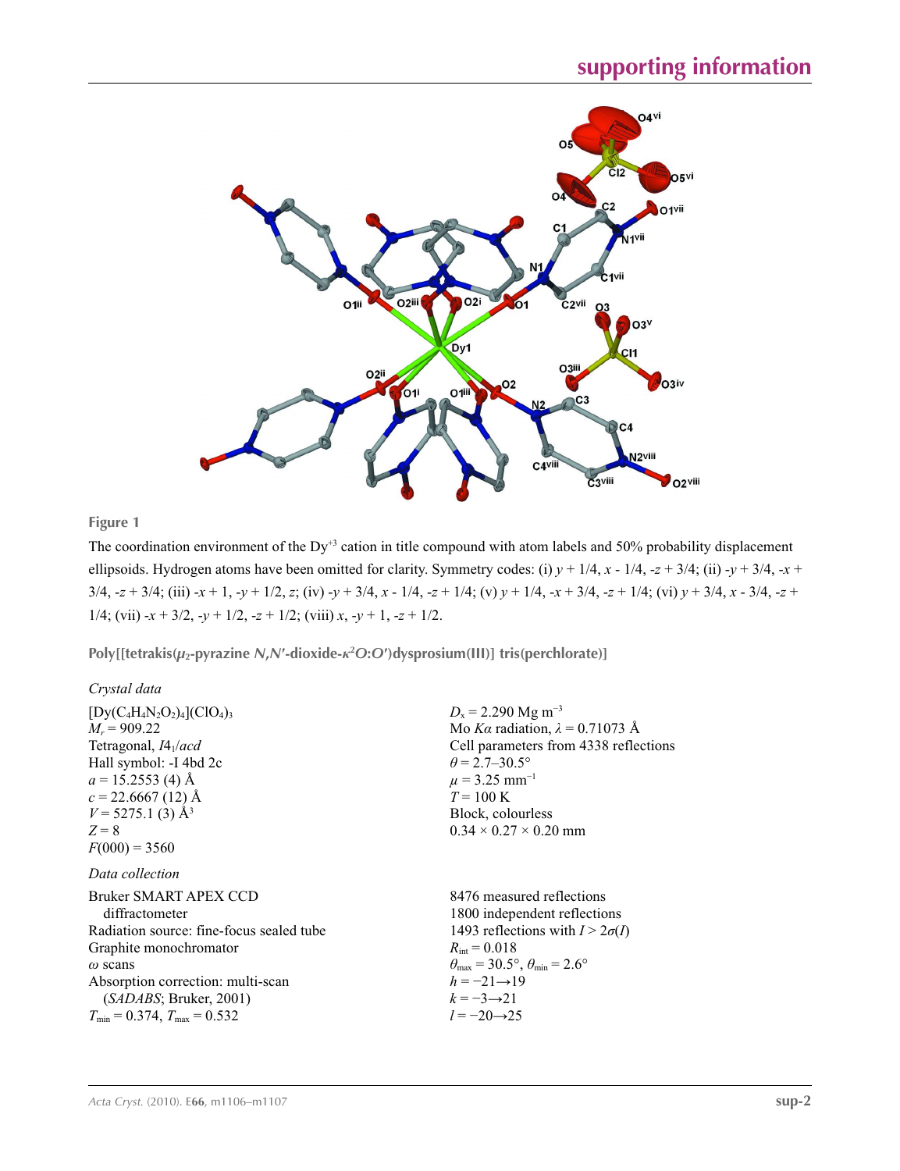

### **Figure 1**

The coordination environment of the Dy<sup>+3</sup> cation in title compound with atom labels and 50% probability displacement ellipsoids. Hydrogen atoms have been omitted for clarity. Symmetry codes: (i)  $y + 1/4$ ,  $x - 1/4$ ,  $-z + 3/4$ ; (ii)  $-y + 3/4$ ,  $-x +$  $3/4$ ,  $-z + 3/4$ ; (iii)  $-x + 1$ ,  $-y + 1/2$ , z; (iv)  $-y + 3/4$ ,  $x - 1/4$ ,  $-z + 1/4$ ; (v)  $y + 1/4$ ,  $-x + 3/4$ ,  $-z + 1/4$ ; (vi)  $y + 3/4$ ,  $x - 3/4$ ,  $-z + 1/4$ 1/4; (vii)  $-x + 3/2$ ,  $-y + 1/2$ ,  $-z + 1/2$ ; (viii)  $x, -y + 1$ ,  $-z + 1/2$ .

**Poly[[tetrakis(***µ***2-pyrazine** *N***,***N***′-dioxide-***κ***<sup>2</sup>** *O***:***O***′)dysprosium(III)] tris(perchlorate)]** 

| Crystal data                                                                                                                                                                                                                                                             |                                                                                                                                                                                                                                                                                            |
|--------------------------------------------------------------------------------------------------------------------------------------------------------------------------------------------------------------------------------------------------------------------------|--------------------------------------------------------------------------------------------------------------------------------------------------------------------------------------------------------------------------------------------------------------------------------------------|
| $[Dy(C_4H_4N_2O_2)_4(CIO_4)_3]$<br>$M_r = 909.22$<br>Tetragonal, $I4_1/acd$<br>Hall symbol: -I 4bd 2c<br>$a = 15.2553$ (4) Å<br>$c = 22.6667(12)$ Å<br>$V = 5275.1$ (3) Å <sup>3</sup><br>$Z=8$<br>$F(000) = 3560$                                                       | $D_x = 2.290$ Mg m <sup>-3</sup><br>Mo Ka radiation, $\lambda = 0.71073$ Å<br>Cell parameters from 4338 reflections<br>$\theta$ = 2.7–30.5°<br>$\mu$ = 3.25 mm <sup>-1</sup><br>$T = 100 \text{ K}$<br>Block, colourless<br>$0.34 \times 0.27 \times 0.20$ mm                              |
| Data collection<br>Bruker SMART APEX CCD<br>diffractometer<br>Radiation source: fine-focus sealed tube<br>Graphite monochromator<br>$\omega$ scans<br>Absorption correction: multi-scan<br>(SADABS; Bruker, 2001)<br>$T_{\text{min}} = 0.374$ , $T_{\text{max}} = 0.532$ | 8476 measured reflections<br>1800 independent reflections<br>1493 reflections with $I > 2\sigma(I)$<br>$R_{\rm int} = 0.018$<br>$\theta_{\text{max}} = 30.5^{\circ}, \theta_{\text{min}} = 2.6^{\circ}$<br>$h = -21 \rightarrow 19$<br>$k = -3 \rightarrow 21$<br>$l = -20 \rightarrow 25$ |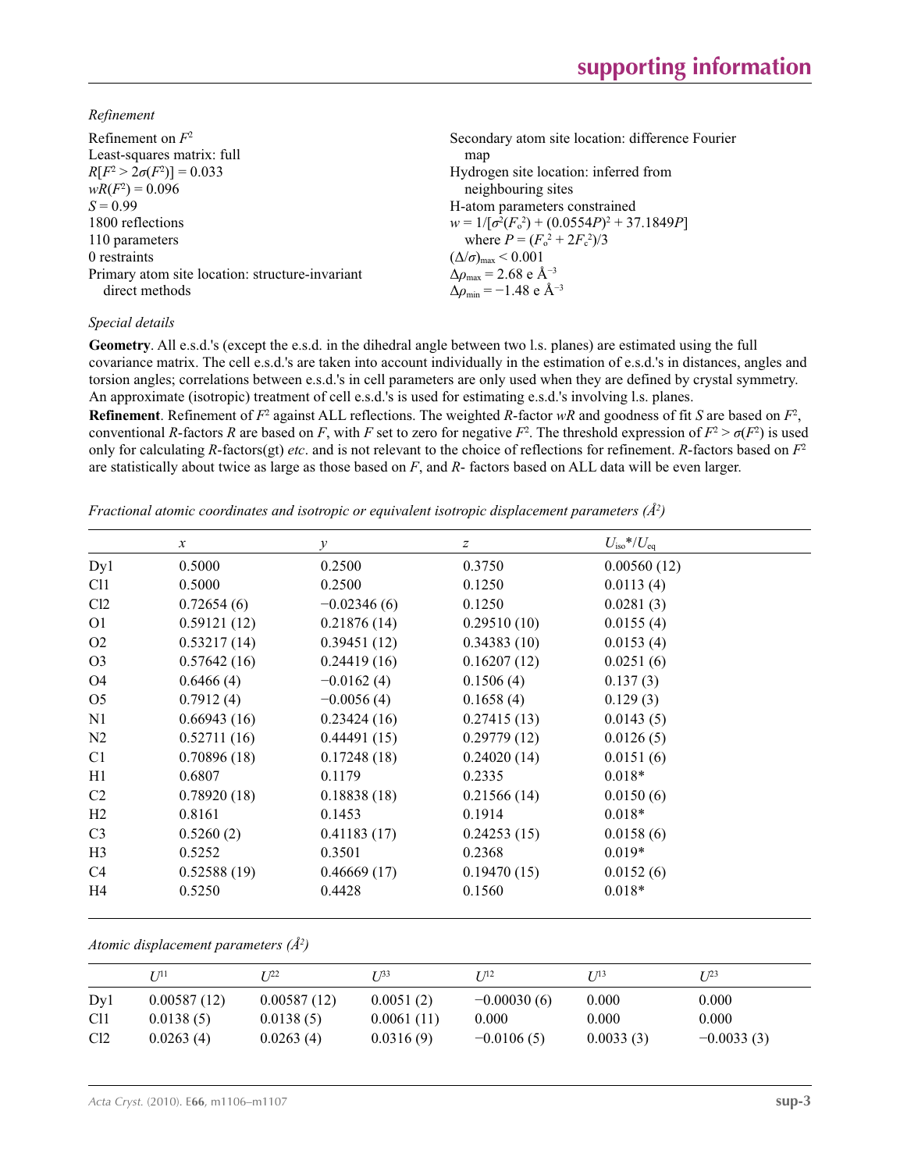*Refinement*

| Refinement on $F^2$                             | Secondary atom site location: difference Fourier   |
|-------------------------------------------------|----------------------------------------------------|
| Least-squares matrix: full                      | map                                                |
| $R[F^2 > 2\sigma(F^2)] = 0.033$                 | Hydrogen site location: inferred from              |
| $wR(F^2) = 0.096$                               | neighbouring sites                                 |
| $S = 0.99$                                      | H-atom parameters constrained                      |
| 1800 reflections                                | $w = 1/[\sigma^2(F_0^2) + (0.0554P)^2 + 37.1849P]$ |
| 110 parameters                                  | where $P = (F_o^2 + 2F_c^2)/3$                     |
| 0 restraints                                    | $(\Delta/\sigma)_{\text{max}}$ < 0.001             |
| Primary atom site location: structure-invariant | $\Delta\rho_{\text{max}}$ = 2.68 e Å <sup>-3</sup> |
| direct methods                                  | $\Delta\rho_{\rm min} = -1.48$ e Å <sup>-3</sup>   |

### *Special details*

**Geometry**. All e.s.d.'s (except the e.s.d. in the dihedral angle between two l.s. planes) are estimated using the full covariance matrix. The cell e.s.d.'s are taken into account individually in the estimation of e.s.d.'s in distances, angles and torsion angles; correlations between e.s.d.'s in cell parameters are only used when they are defined by crystal symmetry. An approximate (isotropic) treatment of cell e.s.d.'s is used for estimating e.s.d.'s involving l.s. planes.

**Refinement**. Refinement of  $F^2$  against ALL reflections. The weighted R-factor wR and goodness of fit *S* are based on  $F^2$ , conventional *R*-factors *R* are based on *F*, with *F* set to zero for negative  $F^2$ . The threshold expression of  $F^2 > \sigma(F^2)$  is used only for calculating *R*-factors(gt) *etc*. and is not relevant to the choice of reflections for refinement. *R*-factors based on *F*<sup>2</sup> are statistically about twice as large as those based on *F*, and *R*- factors based on ALL data will be even larger.

*Fractional atomic coordinates and isotropic or equivalent isotropic displacement parameters (Å<sup>2</sup>)* 

|                 | $\mathcal{X}$ | $\mathcal{Y}$ | $\boldsymbol{Z}$ | $U_{\rm iso}*/U_{\rm eq}$ |
|-----------------|---------------|---------------|------------------|---------------------------|
| Dyl             | 0.5000        | 0.2500        | 0.3750           | 0.00560(12)               |
| C <sub>11</sub> | 0.5000        | 0.2500        | 0.1250           | 0.0113(4)                 |
| Cl2             | 0.72654(6)    | $-0.02346(6)$ | 0.1250           | 0.0281(3)                 |
| O <sub>1</sub>  | 0.59121(12)   | 0.21876(14)   | 0.29510(10)      | 0.0155(4)                 |
| O <sub>2</sub>  | 0.53217(14)   | 0.39451(12)   | 0.34383(10)      | 0.0153(4)                 |
| O <sub>3</sub>  | 0.57642(16)   | 0.24419(16)   | 0.16207(12)      | 0.0251(6)                 |
| O4              | 0.6466(4)     | $-0.0162(4)$  | 0.1506(4)        | 0.137(3)                  |
| O <sub>5</sub>  | 0.7912(4)     | $-0.0056(4)$  | 0.1658(4)        | 0.129(3)                  |
| N1              | 0.66943(16)   | 0.23424(16)   | 0.27415(13)      | 0.0143(5)                 |
| N <sub>2</sub>  | 0.52711(16)   | 0.44491(15)   | 0.29779(12)      | 0.0126(5)                 |
| C <sub>1</sub>  | 0.70896(18)   | 0.17248(18)   | 0.24020(14)      | 0.0151(6)                 |
| H1              | 0.6807        | 0.1179        | 0.2335           | $0.018*$                  |
| C2              | 0.78920(18)   | 0.18838(18)   | 0.21566(14)      | 0.0150(6)                 |
| H2              | 0.8161        | 0.1453        | 0.1914           | $0.018*$                  |
| C <sub>3</sub>  | 0.5260(2)     | 0.41183(17)   | 0.24253(15)      | 0.0158(6)                 |
| H <sub>3</sub>  | 0.5252        | 0.3501        | 0.2368           | $0.019*$                  |
| C <sub>4</sub>  | 0.52588(19)   | 0.46669(17)   | 0.19470(15)      | 0.0152(6)                 |
| H4              | 0.5250        | 0.4428        | 0.1560           | $0.018*$                  |

*Atomic displacement parameters (Å2 )*

|                 | 7 71 1      | r 122       | T 133      | T 112         | T 713     | $I^{23}$     |
|-----------------|-------------|-------------|------------|---------------|-----------|--------------|
| Dy1             | 0.00587(12) | 0.00587(12) | 0.0051(2)  | $-0.00030(6)$ | 0.000     | 0.000        |
| C <sub>11</sub> | 0.0138(5)   | 0.0138(5)   | 0.0061(11) | 0.000         | 0.000     | 0.000        |
| Cl <sub>2</sub> | 0.0263(4)   | 0.0263(4)   | 0.0316(9)  | $-0.0106(5)$  | 0.0033(3) | $-0.0033(3)$ |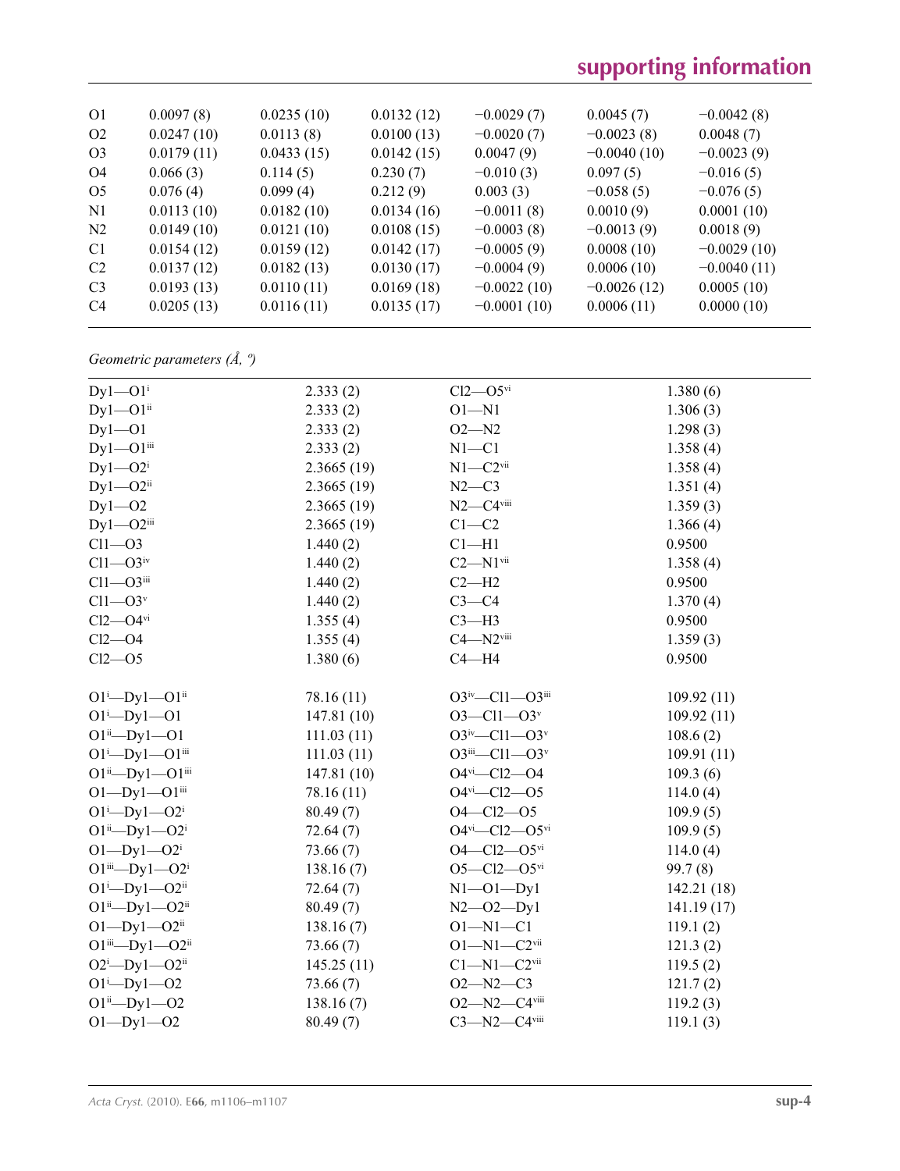# **supporting information**

| O <sub>1</sub> | 0.0097(8)  | 0.0235(10) | 0.0132(12) | $-0.0029(7)$  | 0.0045(7)     | $-0.0042(8)$  |
|----------------|------------|------------|------------|---------------|---------------|---------------|
| O <sub>2</sub> | 0.0247(10) | 0.0113(8)  | 0.0100(13) | $-0.0020(7)$  | $-0.0023(8)$  | 0.0048(7)     |
| O <sub>3</sub> | 0.0179(11) | 0.0433(15) | 0.0142(15) | 0.0047(9)     | $-0.0040(10)$ | $-0.0023(9)$  |
| O <sub>4</sub> | 0.066(3)   | 0.114(5)   | 0.230(7)   | $-0.010(3)$   | 0.097(5)      | $-0.016(5)$   |
| O <sub>5</sub> | 0.076(4)   | 0.099(4)   | 0.212(9)   | 0.003(3)      | $-0.058(5)$   | $-0.076(5)$   |
| N1             | 0.0113(10) | 0.0182(10) | 0.0134(16) | $-0.0011(8)$  | 0.0010(9)     | 0.0001(10)    |
| N <sub>2</sub> | 0.0149(10) | 0.0121(10) | 0.0108(15) | $-0.0003(8)$  | $-0.0013(9)$  | 0.0018(9)     |
| C <sub>1</sub> | 0.0154(12) | 0.0159(12) | 0.0142(17) | $-0.0005(9)$  | 0.0008(10)    | $-0.0029(10)$ |
| C <sub>2</sub> | 0.0137(12) | 0.0182(13) | 0.0130(17) | $-0.0004(9)$  | 0.0006(10)    | $-0.0040(11)$ |
| C <sub>3</sub> | 0.0193(13) | 0.0110(11) | 0.0169(18) | $-0.0022(10)$ | $-0.0026(12)$ | 0.0005(10)    |
| C <sub>4</sub> | 0.0205(13) | 0.0116(11) | 0.0135(17) | $-0.0001(10)$ | 0.0006(11)    | 0.0000(10)    |
|                |            |            |            |               |               |               |

*Geometric parameters (Å, º)*

| $Dy$ 1— $O1$ <sup>i</sup>      | 2.333(2)   | $Cl2$ — $O5$ <sup>vi</sup>        | 1.380(6)   |
|--------------------------------|------------|-----------------------------------|------------|
| $Dy1 - O1$ <sup>ii</sup>       | 2.333(2)   | $O1 - N1$                         | 1.306(3)   |
| $Dy1 - O1$                     | 2.333(2)   | $O2 - N2$                         | 1.298(3)   |
| $Dy1 - O1$ <sup>iii</sup>      | 2.333(2)   | $N1 - C1$                         | 1.358(4)   |
| $Dy1 - O2i$                    | 2.3665(19) | $N1 - C2$ <sup>vii</sup>          | 1.358(4)   |
| $Dy1 - O2$ <sup>ii</sup>       | 2.3665(19) | $N2-C3$                           | 1.351(4)   |
| $Dy1 - O2$                     | 2.3665(19) | $N2-C4$ viii                      | 1.359(3)   |
| $Dy1 - O2$ iii                 | 2.3665(19) | $C1-C2$                           | 1.366(4)   |
| $Cl1 - O3$                     | 1.440(2)   | $Cl-H1$                           | 0.9500     |
| $Cl1 - O3$ iv                  | 1.440(2)   | $C2 - N1$ <sup>vii</sup>          | 1.358(4)   |
| $Cl1 - O3$ iii                 | 1.440(2)   | $C2 - H2$                         | 0.9500     |
| $Cl1 - O3v$                    | 1.440(2)   | $C3-C4$                           | 1.370(4)   |
| $Cl2$ — $O4$ <sup>vi</sup>     | 1.355(4)   | $C3-H3$                           | 0.9500     |
| $Cl2$ -O4                      | 1.355(4)   | $C4 - N2$ <sup>viii</sup>         | 1.359(3)   |
| $Cl2$ - $O5$                   | 1.380(6)   | $C4 - H4$                         | 0.9500     |
|                                |            |                                   |            |
| $O1^i$ -Dy $1$ --O $1^{ii}$    | 78.16 (11) | $O3^{iv}$ —Cl1— $O3^{iii}$        | 109.92(11) |
| $O1^{i}$ -Dy $1$ --O1          | 147.81(10) | $O3 - Cl1 - O3$ <sup>v</sup>      | 109.92(11) |
| $O1^{ii}$ -Dy $1$ --O1         | 111.03(11) | $O3^{iv}$ -Cl1- $O3^v$            | 108.6(2)   |
| $O1^{i}$ -Dy $1$ --O $1^{iii}$ | 111.03(11) | $O3^{iii} - Cl1 - O3^{v}$         | 109.91(11) |
| $O1^{ii}$ -Dy1 - $O1^{iii}$    | 147.81(10) | $O4$ <sup>vi</sup> - $Cl2$ - $O4$ | 109.3(6)   |
| $O1-Dy1-O1$ iii                | 78.16 (11) | $O4$ <sup>vi</sup> - $Cl2$ - $O5$ | 114.0(4)   |
| $O1^{i}$ -Dy $1$ - $O2^{i}$    | 80.49(7)   | $O4 - Cl2 - O5$                   | 109.9(5)   |
| $O1^{ii}$ — $Dy1$ — $O2^{i}$   | 72.64(7)   | $O4^{vi}$ - $Cl2$ - $O5^{vi}$     | 109.9(5)   |
| $O1-Dy1-O2i$                   | 73.66(7)   | $O4 - Cl2 - O5$ <sup>vi</sup>     | 114.0(4)   |
| $O1^{iii}$ — $Dy1$ — $O2^{i}$  | 138.16(7)  | $O5 - Cl2 - O5$ <sup>vi</sup>     | 99.7(8)    |
| $O1^i$ -Dy $1$ - $O2^{ii}$     | 72.64(7)   | $N1 - 01 - Dy1$                   | 142.21(18) |
| $O1^{ii}$ — $Dy1$ — $O2^{ii}$  | 80.49(7)   | $N2 - 02 - Dy1$                   | 141.19(17) |
| $O1-Dy1-O2^{ii}$               | 138.16(7)  | $O1 - N1 - C1$                    | 119.1(2)   |
| $O1^{iii}$ — $Dy1$ — $O2^{ii}$ | 73.66(7)   | $O1 - N1 - C2$ <sup>vii</sup>     | 121.3(2)   |
| $O2^i$ -Dyl- $O2^{ii}$         | 145.25(11) | $C1 - N1 - C2$ <sup>vii</sup>     | 119.5(2)   |
| $O1^i$ -Dy $1$ --O2            | 73.66(7)   | $O2 - N2 - C3$                    | 121.7(2)   |
| $O1^{ii}$ -Dy $1$ -O2          | 138.16(7)  | $O2 - N2 - C4$ <sup>viii</sup>    | 119.2(3)   |
| $O1 - Dy1 - O2$                | 80.49(7)   | $C3 - N2 - C4$ viii               | 119.1(3)   |